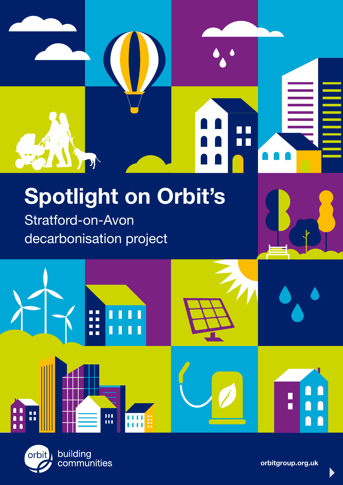

# Spotlight on Orbit's

Stratford-on-Avon decarbonisation project



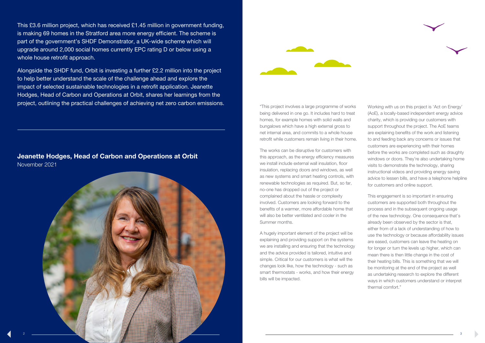



"This project involves a large programme of works being delivered in one go. It includes hard to treat homes, for example homes with solid walls and bungalows which have a high external gross to net internal area, and commits to a whole house retrofit while customers remain living in their home.

The works can be disruptive for customers with this approach, as the energy efficiency measures we install include external wall insulation, floor insulation, replacing doors and windows, as well as new systems and smart heating controls, with renewable technologies as required. But, so far, no-one has dropped out of the project or complained about the hassle or complexity involved. Customers are looking forward to the benefits of a warmer, more affordable home that will also be better ventilated and cooler in the Summer months.

A hugely important element of the project will be explaining and providing support on the systems we are installing and ensuring that the technology and the advice provided is tailored, intuitive and simple. Critical for our customers is what will the changes look like, how the technology - such as smart thermostats - works, and how their energy bills will be impacted.

Working with us on this project is 'Act on Energy' (AoE), a locally-based independent energy advice charity, which is providing our customers with support throughout the project. The AoE teams are explaining benefits of the work and listening to and feeding back any concerns or issues that customers are experiencing with their homes before the works are completed such as draughty windows or doors. They're also undertaking home visits to demonstrate the technology, sharing instructional videos and providing energy saving advice to lessen bills, and have a telephone helpline for customers and online support.

This engagement is so important in ensuring customers are supported both throughout the process and in the subsequent ongoing usage of the new technology. One consequence that's already been observed by the sector is that, either from of a lack of understanding of how to use the technology or because affordability issues are eased, customers can leave the heating on for longer or turn the levels up higher, which can mean there is then little change in the cost of their heating bills. This is something that we will be monitoring at the end of the project as well as undertaking research to explore the different ways in which customers understand or interpret thermal comfort."

This £3.6 million project, which has received £1.45 million in government funding, is making 69 homes in the Stratford area more energy efficient. The scheme is part of the government's SHDF Demonstrator, a UK-wide scheme which will upgrade around 2,000 social homes currently EPC rating D or below using a whole house retrofit approach.

Alongside the SHDF fund, Orbit is investing a further £2.2 million into the project to help better understand the scale of the challenge ahead and explore the impact of selected sustainable technologies in a retrofit application. Jeanette Hodges, Head of Carbon and Operations at Orbit, shares her learnings from the project, outlining the practical challenges of achieving net zero carbon emissions.

Jeanette Hodges, Head of Carbon and Operations at Orbit November 2021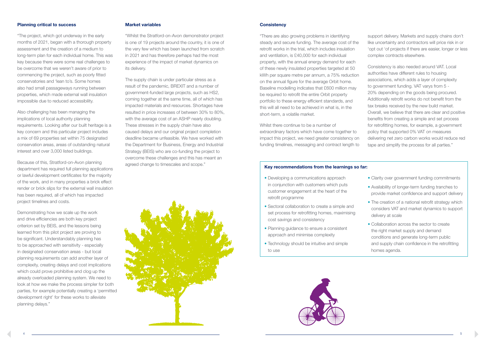## Planning critical to success

"The project, which got underway in the early months of 2021, began with a thorough property assessment and the creation of a medium to long-term plan for each individual home. This was key because there were some real challenges to be overcome that we weren't aware of prior to commencing the project, such as poorly fitted conservatories and 'lean to's. Some homes also had small passageways running between properties, which made external wall insulation impossible due to reduced accessibility.

Also challenging has been managing the implications of local authority planning requirements. Looking after our built heritage is a key concern and this particular project includes a mix of 69 properties set within 75 designated conservation areas, areas of outstanding natural interest and over 3,000 listed buildings.

Because of this, Stratford-on-Avon planning department has required full planning applications or lawful development certificates for the majority of the work, and in many properties a brick effect render or brick slips for the external wall insulation has been required, all of which has impacted project timelines and costs.

Demonstrating how we scale up the work and drive efficiencies are both key project criterion set by BEIS, and the lessons being learned from this pilot project are proving to be significant. Understandably planning has to be approached with sensitivity - especially in designated conservation areas - but local planning requirements can add another layer of complexity, creating delays and cost implications which could prove prohibitive and clog up the already overloaded planning system. We need to look at how we make the process simpler for both parties, for example potentially creating a 'permitted development right' for these works to alleviate planning delays."

#### Market variables

"Whilst the Stratford-on-Avon demonstrator project is one of 19 projects around the country, it is one of the very few which has been launched from scratch in 2021 and has therefore perhaps had the most experience of the impact of market dynamics on its delivery.

The supply chain is under particular stress as a result of the pandemic, BREXIT and a number of government-funded large projects, such as HS2, coming together at the same time, all of which has impacted materials and resources. Shortages have resulted in price increases of between 30% to 80%, with the average cost of an ASHP nearly doubling. These stresses in the supply chain have also caused delays and our original project completion deadline became unfeasible. We have worked with the Department for Business, Energy and Industrial Strategy (BEIS) who are co-funding the project to overcome these challenges and this has meant an agreed change to timescales and scope."



### **Consistency**

- Clarity over government funding commitments
- Availability of longer-term funding tranches to provide market confidence and support delivery
- The creation of a national retrofit strategy which considers VAT and market dynamics to support delivery at scale
- Collaboration across the sector to create the right market supply and demand conditions and generate long-term public and supply chain confidence in the retrofitting homes agenda.

"There are also growing problems in identifying steady and secure funding. The average cost of the retrofit works in the trial, which includes insulation and ventilation, is £40,000 for each individual property, with the annual energy demand for each of these newly insulated properties targeted at 50 kWh per square metre per annum, a 75% reduction on the annual figure for the average Orbit home. Baseline modelling indicates that £600 million may be required to retrofit the entire Orbit property portfolio to these energy efficient standards, and this will all need to be achieved in what is, in the short-term, a volatile market.

Whilst there continue to be a number of extraordinary factors which have come together to impact this project, we need greater consistency on funding timelines, messaging and contract length to support delivery. Markets and supply chains don't like uncertainty and contractors will price risk in or 'opt out 'of projects if there are easier, longer or less complex contracts elsewhere.

Consistency is also needed around VAT. Local authorities have different rules to housing associations, which adds a layer of complexity to government funding. VAT varys from 5 - 20% depending on the goods being procured. Additionally retrofit works do not benefit from the tax breaks received by the new build market. Overall, we believe that there are clear and positive benefits from creating a simple and set process for retrofitting homes, for example, a government policy that supported 0% VAT on measures delivering net zero carbon works would reduce red tape and simplify the process for all parties."

#### Key recommendations from the learnings so far:

- Developing a communications approach in conjunction with customers which puts customer engagement at the heart of the retrofit programme
- Sectoral collaboration to create a simple and set process for retrofitting homes, maximising cost savings and consistency
- Planning guidance to ensure a consistent approach and minimise complexity
- Technology should be intuitive and simple to use